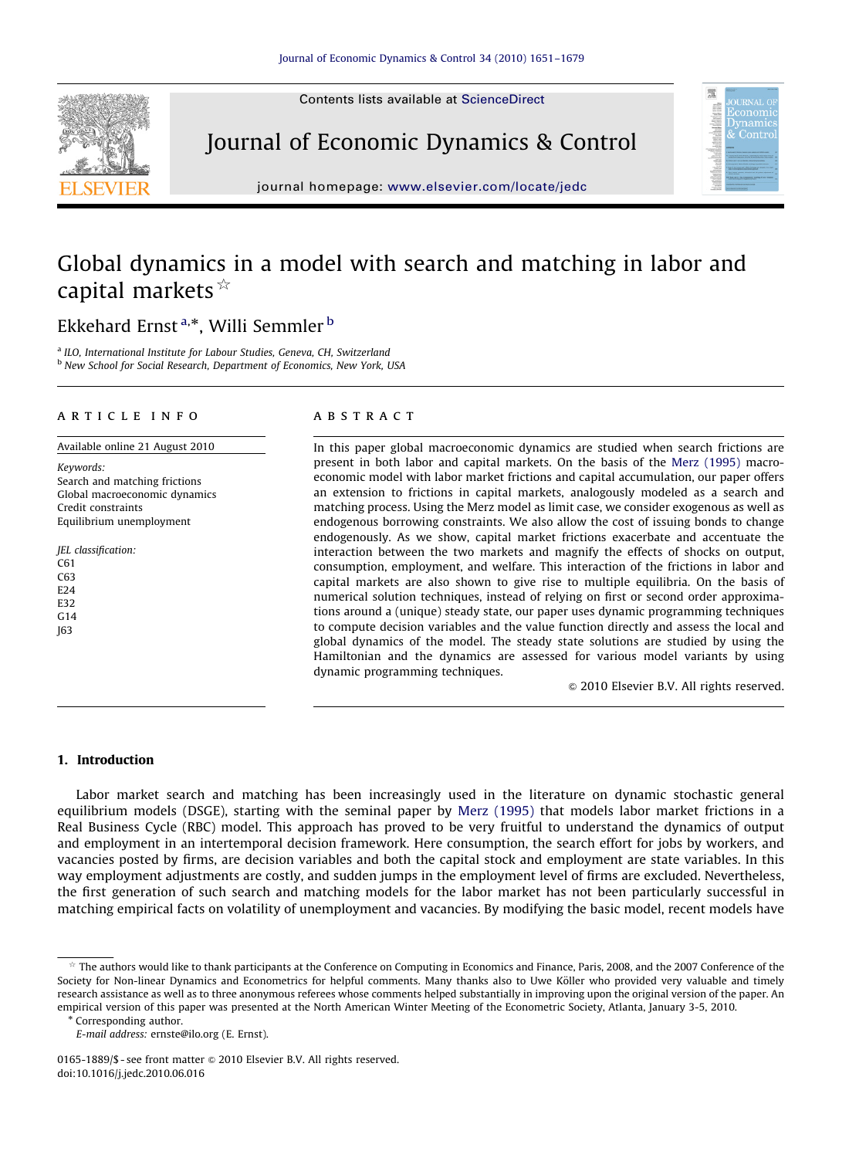Contents lists available at ScienceDirect



# Journal of Economic Dynamics & Control



journal homepage: <www.elsevier.com/locate/jedc>

# Global dynamics in a model with search and matching in labor and capital markets  $\overrightarrow{A}$

### Ekkehard Ernst<sup>a,</sup>\*, Willi Semmler <sup>b</sup>

<sup>a</sup> ILO, International Institute for Labour Studies, Geneva, CH, Switzerland **b New School for Social Research, Department of Economics, New York, USA** 

#### article info

Available online 21 August 2010

Keywords: Search and matching frictions Global macroeconomic dynamics Credit constraints Equilibrium unemployment

JEL classification: C61 C63 E24 E32  $G<sub>14</sub>$ 

J63

#### **ABSTRACT**

In this paper global macroeconomic dynamics are studied when search frictions are present in both labor and capital markets. On the basis of the [Merz \(1995\)](#page--1-0) macroeconomic model with labor market frictions and capital accumulation, our paper offers an extension to frictions in capital markets, analogously modeled as a search and matching process. Using the Merz model as limit case, we consider exogenous as well as endogenous borrowing constraints. We also allow the cost of issuing bonds to change endogenously. As we show, capital market frictions exacerbate and accentuate the interaction between the two markets and magnify the effects of shocks on output, consumption, employment, and welfare. This interaction of the frictions in labor and capital markets are also shown to give rise to multiple equilibria. On the basis of numerical solution techniques, instead of relying on first or second order approximations around a (unique) steady state, our paper uses dynamic programming techniques to compute decision variables and the value function directly and assess the local and global dynamics of the model. The steady state solutions are studied by using the Hamiltonian and the dynamics are assessed for various model variants by using dynamic programming techniques.

 $\odot$  2010 Elsevier B.V. All rights reserved.

#### 1. Introduction

Labor market search and matching has been increasingly used in the literature on dynamic stochastic general equilibrium models (DSGE), starting with the seminal paper by [Merz \(1995\)](#page--1-0) that models labor market frictions in a Real Business Cycle (RBC) model. This approach has proved to be very fruitful to understand the dynamics of output and employment in an intertemporal decision framework. Here consumption, the search effort for jobs by workers, and vacancies posted by firms, are decision variables and both the capital stock and employment are state variables. In this way employment adjustments are costly, and sudden jumps in the employment level of firms are excluded. Nevertheless, the first generation of such search and matching models for the labor market has not been particularly successful in matching empirical facts on volatility of unemployment and vacancies. By modifying the basic model, recent models have

The authors would like to thank participants at the Conference on Computing in Economics and Finance, Paris, 2008, and the 2007 Conference of the Society for Non-linear Dynamics and Econometrics for helpful comments. Many thanks also to Uwe Köller who provided very valuable and timely research assistance as well as to three anonymous referees whose comments helped substantially in improving upon the original version of the paper. An empirical version of this paper was presented at the North American Winter Meeting of the Econometric Society, Atlanta, January 3-5, 2010.

Corresponding author.

E-mail address: [ernste@ilo.org \(E. Ernst\).](mailto:ernste@ilo.org)

<sup>0165-1889/\$ -</sup> see front matter  $\odot$  2010 Elsevier B.V. All rights reserved. doi:[10.1016/j.jedc.2010.06.016](dx.doi.org/10.1016/j.jedc.2010.06.016)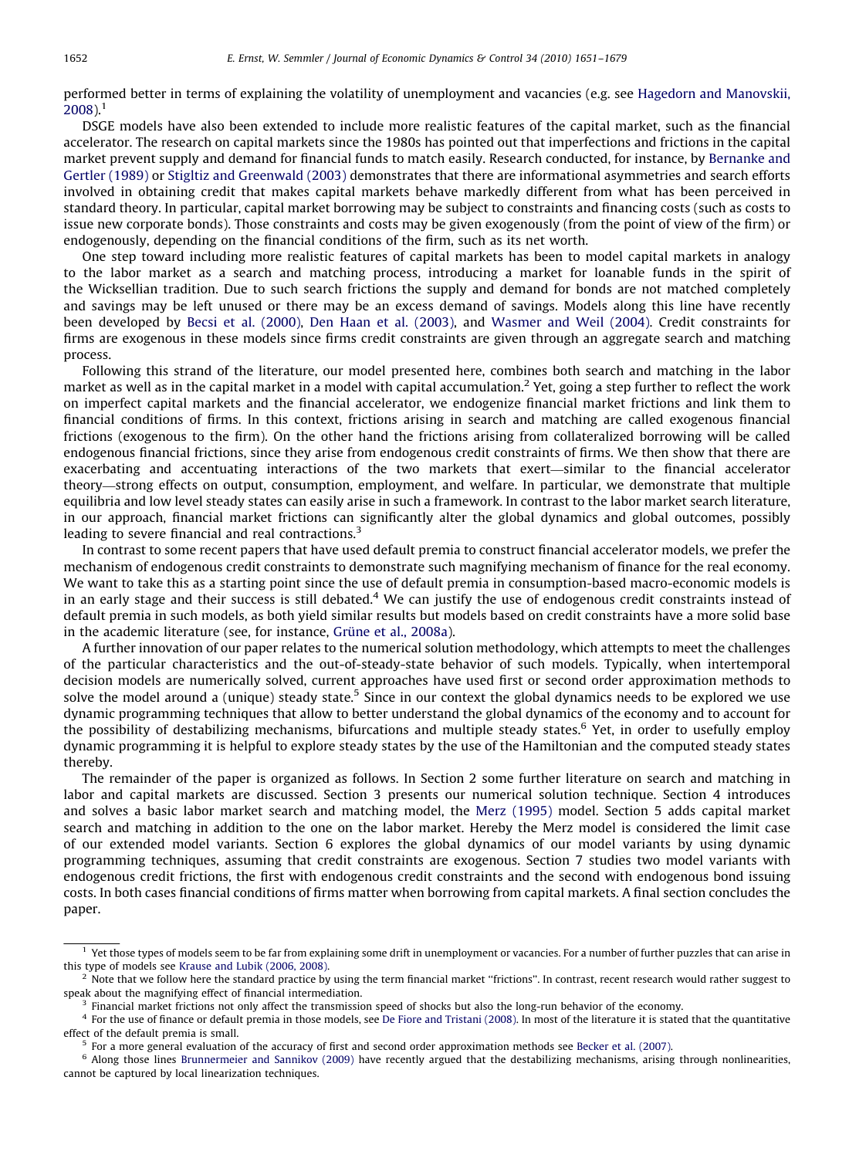performed better in terms of explaining the volatility of unemployment and vacancies (e.g. see [Hagedorn and Manovskii,](#page--1-0)  $2008$ ).<sup>1</sup>

DSGE models have also been extended to include more realistic features of the capital market, such as the financial accelerator. The research on capital markets since the 1980s has pointed out that imperfections and frictions in the capital market prevent supply and demand for financial funds to match easily. Research conducted, for instance, by [Bernanke and](#page--1-0) [Gertler \(1989\)](#page--1-0) or [Stigltiz and Greenwald \(2003\)](#page--1-0) demonstrates that there are informational asymmetries and search efforts involved in obtaining credit that makes capital markets behave markedly different from what has been perceived in standard theory. In particular, capital market borrowing may be subject to constraints and financing costs (such as costs to issue new corporate bonds). Those constraints and costs may be given exogenously (from the point of view of the firm) or endogenously, depending on the financial conditions of the firm, such as its net worth.

One step toward including more realistic features of capital markets has been to model capital markets in analogy to the labor market as a search and matching process, introducing a market for loanable funds in the spirit of the Wicksellian tradition. Due to such search frictions the supply and demand for bonds are not matched completely and savings may be left unused or there may be an excess demand of savings. Models along this line have recently been developed by [Becsi et al. \(2000\),](#page--1-0) [Den Haan et al. \(2003\)](#page--1-0), and [Wasmer and Weil \(2004\).](#page--1-0) Credit constraints for firms are exogenous in these models since firms credit constraints are given through an aggregate search and matching process.

Following this strand of the literature, our model presented here, combines both search and matching in the labor market as well as in the capital market in a model with capital accumulation.<sup>2</sup> Yet, going a step further to reflect the work on imperfect capital markets and the financial accelerator, we endogenize financial market frictions and link them to financial conditions of firms. In this context, frictions arising in search and matching are called exogenous financial frictions (exogenous to the firm). On the other hand the frictions arising from collateralized borrowing will be called endogenous financial frictions, since they arise from endogenous credit constraints of firms. We then show that there are exacerbating and accentuating interactions of the two markets that exert—similar to the financial accelerator theory—strong effects on output, consumption, employment, and welfare. In particular, we demonstrate that multiple equilibria and low level steady states can easily arise in such a framework. In contrast to the labor market search literature, in our approach, financial market frictions can significantly alter the global dynamics and global outcomes, possibly leading to severe financial and real contractions.<sup>3</sup>

In contrast to some recent papers that have used default premia to construct financial accelerator models, we prefer the mechanism of endogenous credit constraints to demonstrate such magnifying mechanism of finance for the real economy. We want to take this as a starting point since the use of default premia in consumption-based macro-economic models is in an early stage and their success is still debated.<sup>4</sup> We can justify the use of endogenous credit constraints instead of default premia in such models, as both yield similar results but models based on credit constraints have a more solid base in the academic literature (see, for instance, Grüne et al., 2008a).

A further innovation of our paper relates to the numerical solution methodology, which attempts to meet the challenges of the particular characteristics and the out-of-steady-state behavior of such models. Typically, when intertemporal decision models are numerically solved, current approaches have used first or second order approximation methods to solve the model around a (unique) steady state.<sup>5</sup> Since in our context the global dynamics needs to be explored we use dynamic programming techniques that allow to better understand the global dynamics of the economy and to account for the possibility of destabilizing mechanisms, bifurcations and multiple steady states.<sup>6</sup> Yet, in order to usefully employ dynamic programming it is helpful to explore steady states by the use of the Hamiltonian and the computed steady states thereby.

The remainder of the paper is organized as follows. In Section 2 some further literature on search and matching in labor and capital markets are discussed. Section 3 presents our numerical solution technique. Section 4 introduces and solves a basic labor market search and matching model, the [Merz \(1995\)](#page--1-0) model. Section 5 adds capital market search and matching in addition to the one on the labor market. Hereby the Merz model is considered the limit case of our extended model variants. Section 6 explores the global dynamics of our model variants by using dynamic programming techniques, assuming that credit constraints are exogenous. Section 7 studies two model variants with endogenous credit frictions, the first with endogenous credit constraints and the second with endogenous bond issuing costs. In both cases financial conditions of firms matter when borrowing from capital markets. A final section concludes the paper.

 $<sup>1</sup>$  Yet those types of models seem to be far from explaining some drift in unemployment or vacancies. For a number of further puzzles that can arise in</sup> this type of models see [Krause and Lubik \(2006, 2008\).](#page--1-0)

 $2$  Note that we follow here the standard practice by using the term financial market "frictions". In contrast, recent research would rather suggest to speak about the magnifying effect of financial intermediation.

<sup>&</sup>lt;sup>3</sup> Financial market frictions not only affect the transmission speed of shocks but also the long-run behavior of the economy.

<sup>&</sup>lt;sup>4</sup> For the use of finance or default premia in those models, see [De Fiore and Tristani \(2008\)](#page--1-0). In most of the literature it is stated that the quantitative effect of the default premia is small.

 $5$  For a more general evaluation of the accuracy of first and second order approximation methods see [Becker et al. \(2007\)](#page--1-0).

<sup>&</sup>lt;sup>6</sup> Along those lines [Brunnermeier and Sannikov \(2009\)](#page--1-0) have recently argued that the destabilizing mechanisms, arising through nonlinearities, cannot be captured by local linearization techniques.